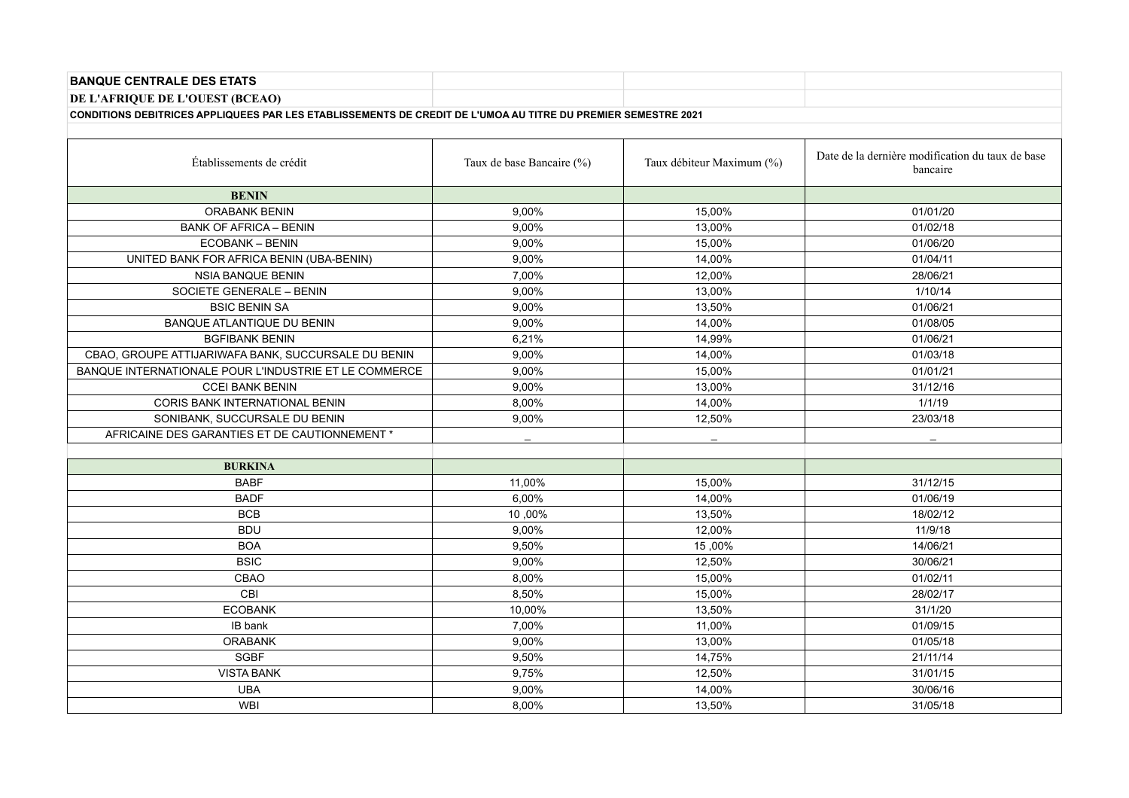| <b>BANQUE CENTRALE DES ETATS</b>                                                                              |                           |                           |                                                              |
|---------------------------------------------------------------------------------------------------------------|---------------------------|---------------------------|--------------------------------------------------------------|
| DE L'AFRIQUE DE L'OUEST (BCEAO)                                                                               |                           |                           |                                                              |
| CONDITIONS DEBITRICES APPLIQUEES PAR LES ETABLISSEMENTS DE CREDIT DE L'UMOA AU TITRE DU PREMIER SEMESTRE 2021 |                           |                           |                                                              |
|                                                                                                               |                           |                           |                                                              |
| Établissements de crédit                                                                                      | Taux de base Bancaire (%) | Taux débiteur Maximum (%) | Date de la dernière modification du taux de base<br>bancaire |
| <b>BENIN</b>                                                                                                  |                           |                           |                                                              |
| <b>ORABANK BENIN</b>                                                                                          | 9,00%                     | 15,00%                    | 01/01/20                                                     |
| <b>BANK OF AFRICA - BENIN</b>                                                                                 | 9,00%                     | 13,00%                    | 01/02/18                                                     |
| <b>ECOBANK - BENIN</b>                                                                                        | 9,00%                     | 15,00%                    | 01/06/20                                                     |
| UNITED BANK FOR AFRICA BENIN (UBA-BENIN)                                                                      | 9,00%                     | 14,00%                    | 01/04/11                                                     |
| <b>NSIA BANQUE BENIN</b>                                                                                      | 7,00%                     | 12,00%                    | 28/06/21                                                     |
| SOCIETE GENERALE - BENIN                                                                                      | 9,00%                     | 13,00%                    | 1/10/14                                                      |
| <b>BSIC BENIN SA</b>                                                                                          | 9,00%                     | 13,50%                    | 01/06/21                                                     |
| BANQUE ATLANTIQUE DU BENIN                                                                                    | 9,00%                     | 14,00%                    | 01/08/05                                                     |
| <b>BGFIBANK BENIN</b>                                                                                         | 6,21%                     | 14,99%                    | 01/06/21                                                     |
| CBAO, GROUPE ATTIJARIWAFA BANK, SUCCURSALE DU BENIN                                                           | 9,00%                     | 14,00%                    | 01/03/18                                                     |
| BANQUE INTERNATIONALE POUR L'INDUSTRIE ET LE COMMERCE                                                         | 9,00%                     | 15,00%                    | 01/01/21                                                     |
| <b>CCEI BANK BENIN</b>                                                                                        | 9,00%                     | 13,00%                    | 31/12/16                                                     |
| CORIS BANK INTERNATIONAL BENIN                                                                                | 8,00%                     | 14,00%                    | 1/1/19                                                       |
| SONIBANK, SUCCURSALE DU BENIN                                                                                 | 9,00%                     | 12,50%                    | 23/03/18                                                     |
| AFRICAINE DES GARANTIES ET DE CAUTIONNEMENT *                                                                 |                           |                           |                                                              |
|                                                                                                               |                           |                           |                                                              |
| <b>BURKINA</b>                                                                                                |                           |                           |                                                              |
| <b>BABF</b>                                                                                                   | 11,00%                    | 15,00%                    | 31/12/15                                                     |
| <b>BADF</b>                                                                                                   | 6,00%                     | 14,00%                    | 01/06/19                                                     |
| <b>BCB</b>                                                                                                    | 10,00%                    | 13,50%                    | 18/02/12                                                     |
| <b>BDU</b>                                                                                                    | 9,00%                     | 12,00%                    | 11/9/18                                                      |
| <b>BOA</b>                                                                                                    | 9,50%                     | 15,00%                    | 14/06/21                                                     |
| <b>BSIC</b>                                                                                                   | 9.00%                     | 12,50%                    | 30/06/21                                                     |
| CBAO                                                                                                          | 8,00%                     | 15,00%                    | 01/02/11                                                     |
| CBI                                                                                                           | 8,50%                     | 15,00%                    | 28/02/17                                                     |
| <b>ECOBANK</b>                                                                                                | 10,00%                    | 13,50%                    | 31/1/20                                                      |
| IB bank                                                                                                       | 7,00%                     | 11,00%                    | 01/09/15                                                     |
| <b>ORABANK</b>                                                                                                | 9,00%                     | 13,00%                    | 01/05/18                                                     |
| <b>SGBF</b>                                                                                                   | 9,50%                     | 14,75%                    | 21/11/14                                                     |
| <b>VISTA BANK</b>                                                                                             | 9,75%                     | 12,50%                    | 31/01/15                                                     |
| <b>UBA</b>                                                                                                    | 9,00%                     | 14,00%                    | 30/06/16                                                     |
| <b>WBI</b>                                                                                                    | 8,00%                     | 13,50%                    | 31/05/18                                                     |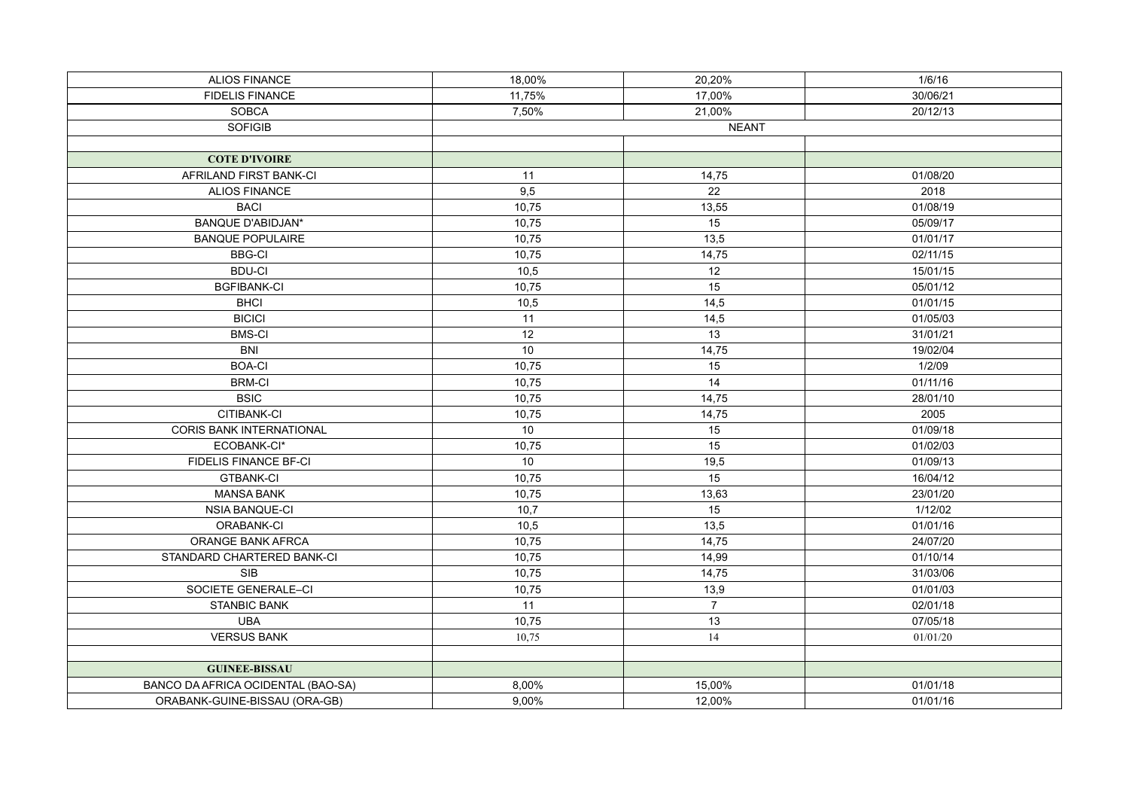| <b>ALIOS FINANCE</b>               | 18,00%          | 20,20%          | 1/6/16   |
|------------------------------------|-----------------|-----------------|----------|
| <b>FIDELIS FINANCE</b>             | 11,75%          | 17,00%          | 30/06/21 |
| <b>SOBCA</b>                       | 7,50%           | 21,00%          | 20/12/13 |
| <b>SOFIGIB</b>                     | <b>NEANT</b>    |                 |          |
|                                    |                 |                 |          |
| <b>COTE D'IVOIRE</b>               |                 |                 |          |
| AFRILAND FIRST BANK-CI             | 11              | 14,75           | 01/08/20 |
| <b>ALIOS FINANCE</b>               | 9,5             | $\overline{22}$ | 2018     |
| <b>BACI</b>                        | 10,75           | 13,55           | 01/08/19 |
| <b>BANQUE D'ABIDJAN*</b>           | 10,75           | $\overline{15}$ | 05/09/17 |
| <b>BANQUE POPULAIRE</b>            | 10,75           | 13,5            | 01/01/17 |
| <b>BBG-CI</b>                      | 10,75           | 14,75           | 02/11/15 |
| <b>BDU-CI</b>                      | 10,5            | 12              | 15/01/15 |
| <b>BGFIBANK-CI</b>                 | 10,75           | $\overline{15}$ | 05/01/12 |
| <b>BHCI</b>                        | 10,5            | 14,5            | 01/01/15 |
| <b>BICICI</b>                      | 11              | 14,5            | 01/05/03 |
| <b>BMS-CI</b>                      | $\overline{12}$ | $\overline{13}$ | 31/01/21 |
| <b>BNI</b>                         | 10              | 14,75           | 19/02/04 |
| <b>BOA-CI</b>                      | 10,75           | 15              | 1/2/09   |
| <b>BRM-CI</b>                      | 10,75           | 14              | 01/11/16 |
| <b>BSIC</b>                        | 10,75           | 14,75           | 28/01/10 |
| CITIBANK-CI                        | 10,75           | 14,75           | 2005     |
| CORIS BANK INTERNATIONAL           | 10              | 15              | 01/09/18 |
| ECOBANK-CI*                        | 10,75           | 15              | 01/02/03 |
| FIDELIS FINANCE BF-CI              | 10              | 19,5            | 01/09/13 |
| <b>GTBANK-CI</b>                   | 10,75           | 15              | 16/04/12 |
| <b>MANSA BANK</b>                  | 10,75           | 13,63           | 23/01/20 |
| NSIA BANQUE-CI                     | 10,7            | 15              | 1/12/02  |
| ORABANK-CI                         | 10,5            | 13,5            | 01/01/16 |
| ORANGE BANK AFRCA                  | 10,75           | 14,75           | 24/07/20 |
| STANDARD CHARTERED BANK-CI         | 10,75           | 14,99           | 01/10/14 |
| <b>SIB</b>                         | 10,75           | 14,75           | 31/03/06 |
| SOCIETE GENERALE-CI                | 10,75           | 13,9            | 01/01/03 |
| <b>STANBIC BANK</b>                | 11              | $\overline{7}$  | 02/01/18 |
| <b>UBA</b>                         | 10,75           | 13              | 07/05/18 |
| <b>VERSUS BANK</b>                 | 10,75           | 14              | 01/01/20 |
|                                    |                 |                 |          |
| <b>GUINEE-BISSAU</b>               |                 |                 |          |
| BANCO DA AFRICA OCIDENTAL (BAO-SA) | 8,00%           | 15,00%          | 01/01/18 |
| ORABANK-GUINE-BISSAU (ORA-GB)      | 9,00%           | 12,00%          | 01/01/16 |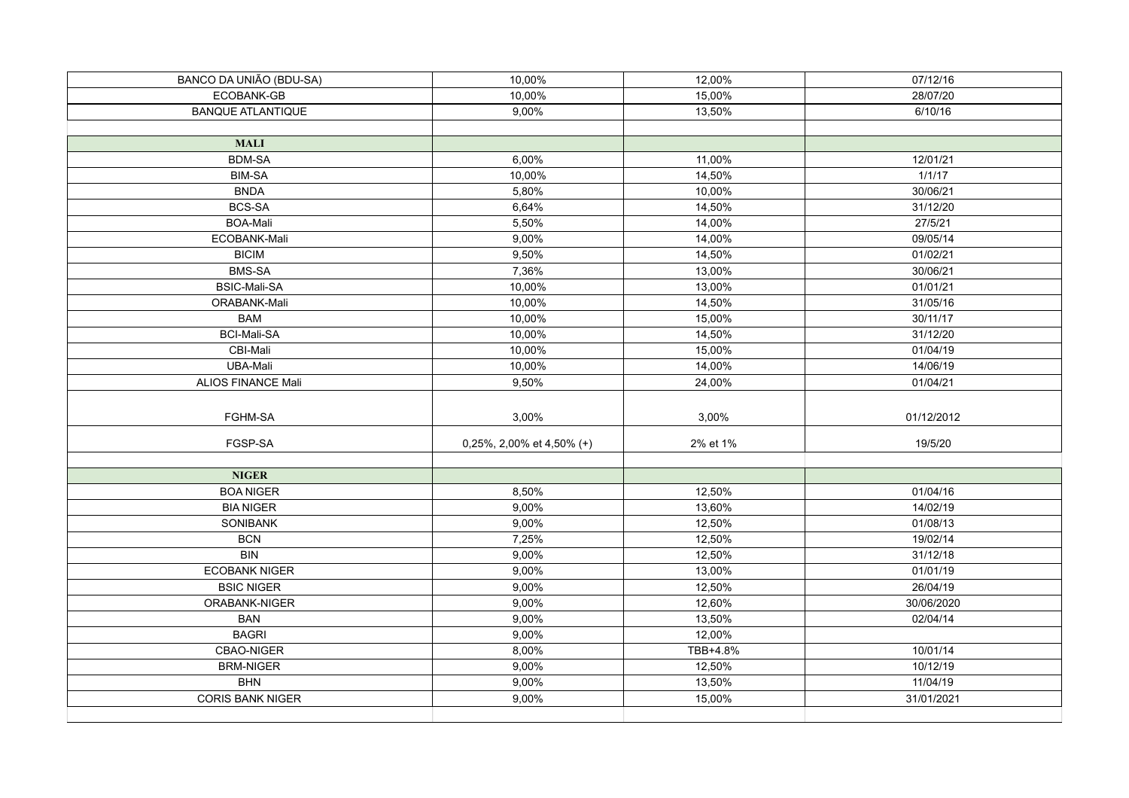| BANCO DA UNIÃO (BDU-SA)  | 10,00%                    | 12,00%   | 07/12/16   |
|--------------------------|---------------------------|----------|------------|
| ECOBANK-GB               | 10,00%                    | 15,00%   | 28/07/20   |
| <b>BANQUE ATLANTIQUE</b> | 9,00%                     | 13,50%   | 6/10/16    |
|                          |                           |          |            |
| <b>MALI</b>              |                           |          |            |
| <b>BDM-SA</b>            | 6,00%                     | 11,00%   | 12/01/21   |
| <b>BIM-SA</b>            | 10,00%                    | 14,50%   | 1/1/17     |
| <b>BNDA</b>              | 5,80%                     | 10,00%   | 30/06/21   |
| <b>BCS-SA</b>            | 6,64%                     | 14,50%   | 31/12/20   |
| <b>BOA-Mali</b>          | 5,50%                     | 14,00%   | 27/5/21    |
| ECOBANK-Mali             | 9,00%                     | 14,00%   | 09/05/14   |
| <b>BICIM</b>             | 9,50%                     | 14,50%   | 01/02/21   |
| <b>BMS-SA</b>            | 7,36%                     | 13,00%   | 30/06/21   |
| <b>BSIC-Mali-SA</b>      | 10,00%                    | 13,00%   | 01/01/21   |
| ORABANK-Mali             | 10,00%                    | 14,50%   | 31/05/16   |
| <b>BAM</b>               | 10,00%                    | 15,00%   | 30/11/17   |
| <b>BCI-Mali-SA</b>       | 10,00%                    | 14,50%   | 31/12/20   |
| CBI-Mali                 | 10,00%                    | 15,00%   | 01/04/19   |
| UBA-Mali                 | 10,00%                    | 14,00%   | 14/06/19   |
| ALIOS FINANCE Mali       | 9,50%                     | 24,00%   | 01/04/21   |
|                          |                           |          |            |
| FGHM-SA                  | 3,00%                     | 3,00%    | 01/12/2012 |
| FGSP-SA                  | 0,25%, 2,00% et 4,50% (+) | 2% et 1% | 19/5/20    |
|                          |                           |          |            |
| <b>NIGER</b>             |                           |          |            |
| <b>BOA NIGER</b>         | 8,50%                     | 12,50%   | 01/04/16   |
| <b>BIA NIGER</b>         | 9,00%                     | 13,60%   | 14/02/19   |
| SONIBANK                 | 9,00%                     | 12,50%   | 01/08/13   |
| <b>BCN</b>               | 7,25%                     | 12,50%   | 19/02/14   |
| <b>BIN</b>               | 9,00%                     | 12,50%   | 31/12/18   |
| <b>ECOBANK NIGER</b>     | 9,00%                     | 13,00%   | 01/01/19   |
| <b>BSIC NIGER</b>        | 9,00%                     | 12,50%   | 26/04/19   |
| ORABANK-NIGER            | 9,00%                     | 12,60%   | 30/06/2020 |
| <b>BAN</b>               | 9,00%                     | 13,50%   | 02/04/14   |
| <b>BAGRI</b>             | 9,00%                     | 12,00%   |            |
| CBAO-NIGER               | 8,00%                     | TBB+4.8% | 10/01/14   |
| <b>BRM-NIGER</b>         | 9,00%                     | 12,50%   | 10/12/19   |
| <b>BHN</b>               | 9,00%                     | 13,50%   | 11/04/19   |
| <b>CORIS BANK NIGER</b>  |                           |          |            |
|                          | 9,00%                     | 15,00%   | 31/01/2021 |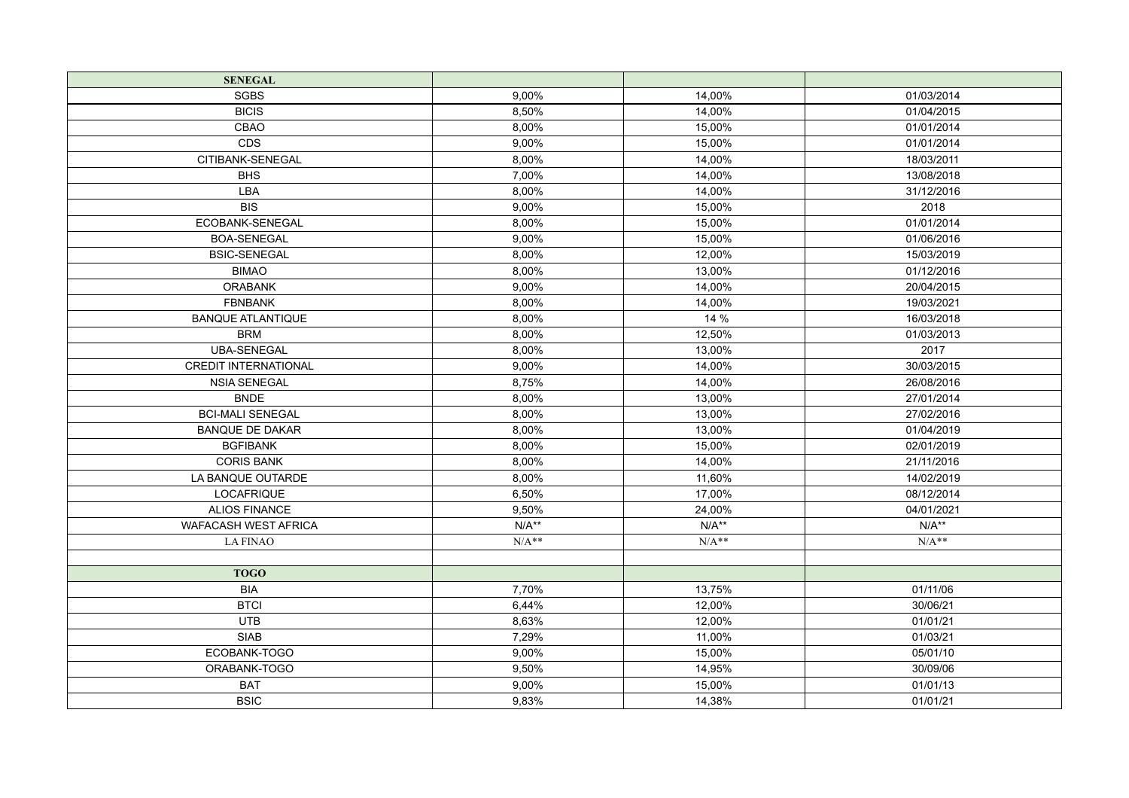| <b>SENEGAL</b>              |         |         |            |
|-----------------------------|---------|---------|------------|
| <b>SGBS</b>                 | 9,00%   | 14,00%  | 01/03/2014 |
| <b>BICIS</b>                | 8,50%   | 14,00%  | 01/04/2015 |
| CBAO                        | 8,00%   | 15,00%  | 01/01/2014 |
| CDS                         | 9,00%   | 15.00%  | 01/01/2014 |
| CITIBANK-SENEGAL            | 8,00%   | 14,00%  | 18/03/2011 |
| <b>BHS</b>                  | 7,00%   | 14,00%  | 13/08/2018 |
| LBA                         | 8,00%   | 14,00%  | 31/12/2016 |
| BIS                         | 9,00%   | 15,00%  | 2018       |
| ECOBANK-SENEGAL             | 8,00%   | 15,00%  | 01/01/2014 |
| <b>BOA-SENEGAL</b>          | 9,00%   | 15,00%  | 01/06/2016 |
| <b>BSIC-SENEGAL</b>         | 8,00%   | 12,00%  | 15/03/2019 |
| <b>BIMAO</b>                | 8,00%   | 13,00%  | 01/12/2016 |
| <b>ORABANK</b>              | 9,00%   | 14,00%  | 20/04/2015 |
| <b>FBNBANK</b>              | 8,00%   | 14,00%  | 19/03/2021 |
| <b>BANQUE ATLANTIQUE</b>    | 8,00%   | 14 %    | 16/03/2018 |
| <b>BRM</b>                  | 8,00%   | 12,50%  | 01/03/2013 |
| <b>UBA-SENEGAL</b>          | 8,00%   | 13,00%  | 2017       |
| <b>CREDIT INTERNATIONAL</b> | 9,00%   | 14,00%  | 30/03/2015 |
| <b>NSIA SENEGAL</b>         | 8,75%   | 14,00%  | 26/08/2016 |
| <b>BNDE</b>                 | 8,00%   | 13,00%  | 27/01/2014 |
| <b>BCI-MALI SENEGAL</b>     | 8.00%   | 13,00%  | 27/02/2016 |
| <b>BANQUE DE DAKAR</b>      | 8,00%   | 13,00%  | 01/04/2019 |
| <b>BGFIBANK</b>             | 8,00%   | 15,00%  | 02/01/2019 |
| <b>CORIS BANK</b>           | 8,00%   | 14,00%  | 21/11/2016 |
| LA BANQUE OUTARDE           | 8,00%   | 11,60%  | 14/02/2019 |
| <b>LOCAFRIQUE</b>           | 6.50%   | 17,00%  | 08/12/2014 |
| <b>ALIOS FINANCE</b>        | 9,50%   | 24,00%  | 04/01/2021 |
| <b>WAFACASH WEST AFRICA</b> | $N/A**$ | $N/A**$ | $N/A**$    |
| <b>LA FINAO</b>             | $N/A**$ | $N/A**$ | $N/A**$    |
|                             |         |         |            |
| <b>TOGO</b>                 |         |         |            |
| <b>BIA</b>                  | 7,70%   | 13,75%  | 01/11/06   |
| <b>BTCI</b>                 | 6,44%   | 12,00%  | 30/06/21   |
| <b>UTB</b>                  | 8,63%   | 12,00%  | 01/01/21   |
| <b>SIAB</b>                 | 7,29%   | 11,00%  | 01/03/21   |
| ECOBANK-TOGO                | 9,00%   | 15,00%  | 05/01/10   |
| ORABANK-TOGO                | 9,50%   | 14,95%  | 30/09/06   |
| <b>BAT</b>                  | 9,00%   | 15,00%  | 01/01/13   |
| <b>BSIC</b>                 | 9,83%   | 14,38%  | 01/01/21   |